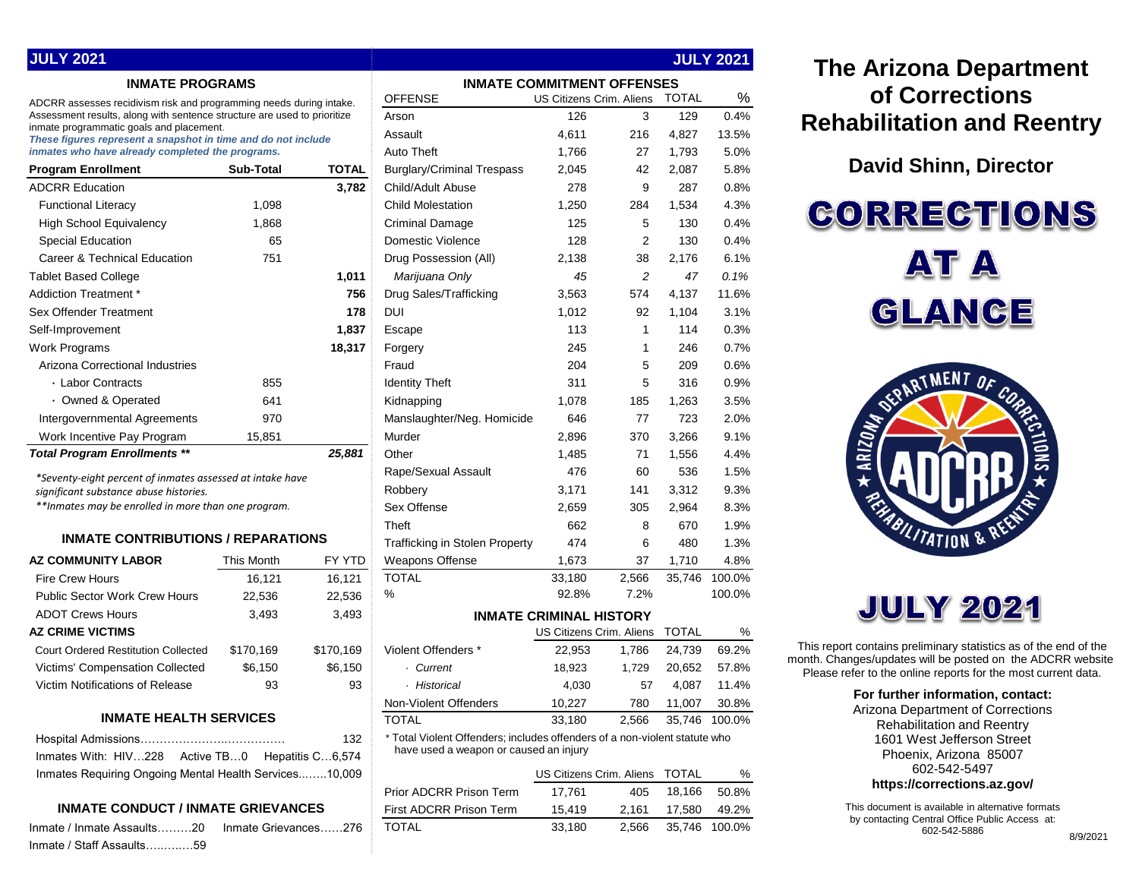|  | <b>JULY 2021</b> |  |
|--|------------------|--|
|  |                  |  |

#### **INMATE PROGRAMS**

| <b>Program Enrollment</b>           | <b>Sub-Total</b> | TOTAL  |
|-------------------------------------|------------------|--------|
| <b>ADCRR Education</b>              |                  | 3,782  |
| <b>Functional Literacy</b>          | 1,098            |        |
| <b>High School Equivalency</b>      | 1,868            |        |
| <b>Special Education</b>            | 65               |        |
| Career & Technical Education        | 751              |        |
| <b>Tablet Based College</b>         |                  | 1,011  |
| Addiction Treatment *               |                  | 756    |
| Sex Offender Treatment              |                  | 178    |
| Self-Improvement                    |                  | 1,837  |
| Work Programs                       |                  | 18,317 |
| Arizona Correctional Industries     |                  |        |
| ⋅ Labor Contracts                   | 855              |        |
| • Owned & Operated                  | 641              |        |
| Intergovernmental Agreements        | 970              |        |
| Work Incentive Pay Program          | 15,851           |        |
| <b>Total Program Fnrollments **</b> |                  | 25.881 |

#### **INMATE CONTRIBUTIONS / REPARATIONS**

| <b>AZ COMMUNITY LABOR</b>                  | This Month | FY YTD    |
|--------------------------------------------|------------|-----------|
| <b>Fire Crew Hours</b>                     | 16.121     | 16,121    |
| <b>Public Sector Work Crew Hours</b>       | 22,536     | 22,536    |
| <b>ADOT Crews Hours</b>                    | 3,493      | 3,493     |
| AZ CRIME VICTIMS                           |            |           |
| <b>Court Ordered Restitution Collected</b> | \$170.169  | \$170,169 |
| <b>Victims' Compensation Collected</b>     | \$6,150    | \$6,150   |
| Victim Notifications of Release            | 93         | 93        |
|                                            |            |           |

#### **INMATE HEALTH SERVICES**

|                                                        | 132 |
|--------------------------------------------------------|-----|
| Inmates With: HIV228 Active TB0 Hepatitis C6,574       |     |
| Inmates Requiring Ongoing Mental Health Services10,009 |     |

#### **INMATE CONDUCT / INMATE GRIEVANCES**

Inmate / Inmate Assaults………20 Inmate Grievances……27 Inmate / Staff Assaults…..…..…59

| <b>INMATE PROGRAMS</b>                                                                                               |                             |              | <b>INMATE COMMITMENT OFFENSES</b>                                          |                                |       |              |               |
|----------------------------------------------------------------------------------------------------------------------|-----------------------------|--------------|----------------------------------------------------------------------------|--------------------------------|-------|--------------|---------------|
| ADCRR assesses recidivism risk and programming needs during intake.                                                  |                             |              | <b>OFFENSE</b>                                                             | US Citizens Crim. Aliens       |       | <b>TOTAL</b> | %             |
| Assessment results, along with sentence structure are used to prioritize<br>inmate programmatic goals and placement. |                             |              | Arson                                                                      | 126                            | 3     | 129          | 0.4%          |
| These figures represent a snapshot in time and do not include                                                        |                             |              | Assault                                                                    | 4,611                          | 216   | 4,827        | 13.5%         |
| inmates who have already completed the programs.                                                                     |                             |              | Auto Theft                                                                 | 1,766                          | 27    | 1,793        | 5.0%          |
| <b>Program Enrollment</b>                                                                                            | Sub-Total                   | <b>TOTAL</b> | <b>Burglary/Criminal Trespass</b>                                          | 2,045                          | 42    | 2,087        | 5.8%          |
| <b>ADCRR Education</b>                                                                                               |                             | 3,782        | Child/Adult Abuse                                                          | 278                            | 9     | 287          | 0.8%          |
| <b>Functional Literacy</b>                                                                                           | 1,098                       |              | <b>Child Molestation</b>                                                   | 1,250                          | 284   | 1,534        | 4.3%          |
| <b>High School Equivalency</b>                                                                                       | 1,868                       |              | <b>Criminal Damage</b>                                                     | 125                            | 5     | 130          | 0.4%          |
| <b>Special Education</b>                                                                                             | 65                          |              | Domestic Violence                                                          | 128                            | 2     | 130          | 0.4%          |
| Career & Technical Education                                                                                         | 751                         |              | Drug Possession (All)                                                      | 2,138                          | 38    | 2,176        | 6.1%          |
| <b>Tablet Based College</b>                                                                                          |                             | 1,011        | Marijuana Only                                                             | 45                             | 2     | 47           | 0.1%          |
| Addiction Treatment *                                                                                                |                             | 756          | Drug Sales/Trafficking                                                     | 3,563                          | 574   | 4,137        | 11.6%         |
| Sex Offender Treatment                                                                                               |                             | 178          | DUI                                                                        | 1,012                          | 92    | 1,104        | 3.1%          |
| Self-Improvement                                                                                                     |                             | 1,837        | Escape                                                                     | 113                            | 1     | 114          | 0.3%          |
| <b>Work Programs</b>                                                                                                 |                             | 18,317       | Forgery                                                                    | 245                            | 1     | 246          | 0.7%          |
| Arizona Correctional Industries                                                                                      |                             |              | Fraud                                                                      | 204                            | 5     | 209          | 0.6%          |
| · Labor Contracts                                                                                                    | 855                         |              | <b>Identity Theft</b>                                                      | 311                            | 5     | 316          | 0.9%          |
| • Owned & Operated                                                                                                   | 641                         |              | Kidnapping                                                                 | 1,078                          | 185   | 1,263        | 3.5%          |
| Intergovernmental Agreements                                                                                         | 970                         |              | Manslaughter/Neg. Homicide                                                 | 646                            | 77    | 723          | 2.0%          |
| Work Incentive Pay Program                                                                                           | 15,851                      |              | Murder                                                                     | 2,896                          | 370   | 3,266        | 9.1%          |
| <b>Total Program Enrollments **</b>                                                                                  |                             | 25,881       | Other                                                                      | 1,485                          | 71    | 1,556        | 4.4%          |
|                                                                                                                      |                             |              | Rape/Sexual Assault                                                        | 476                            | 60    | 536          | 1.5%          |
| *Seventy-eight percent of inmates assessed at intake have<br>significant substance abuse histories.                  |                             |              | Robbery                                                                    | 3,171                          | 141   | 3,312        | 9.3%          |
| **Inmates may be enrolled in more than one program.                                                                  |                             |              | Sex Offense                                                                | 2,659                          | 305   | 2,964        | 8.3%          |
|                                                                                                                      |                             |              | Theft                                                                      | 662                            | 8     | 670          | 1.9%          |
| <b>INMATE CONTRIBUTIONS / REPARATIONS</b>                                                                            |                             |              | <b>Trafficking in Stolen Property</b>                                      | 474                            | 6     | 480          | 1.3%          |
| AZ COMMUNITY LABOR                                                                                                   | This Month                  | FY YTD       | Weapons Offense                                                            | 1,673                          | 37    | 1,710        | 4.8%          |
| <b>Fire Crew Hours</b>                                                                                               | 16,121                      | 16,121       | <b>TOTAL</b>                                                               | 33,180                         | 2,566 | 35,746       | 100.0%        |
| Public Sector Work Crew Hours                                                                                        | 22,536                      | 22,536       | %                                                                          | 92.8%                          | 7.2%  |              | 100.0%        |
| <b>ADOT Crews Hours</b>                                                                                              | 3,493                       | 3,493        |                                                                            | <b>INMATE CRIMINAL HISTORY</b> |       |              |               |
| AZ CRIME VICTIMS                                                                                                     |                             |              |                                                                            | US Citizens Crim. Aliens       |       | <b>TOTAL</b> | %             |
| <b>Court Ordered Restitution Collected</b>                                                                           | \$170,169                   | \$170,169    | Violent Offenders *                                                        | 22,953                         | 1,786 | 24,739       | 69.2%         |
| Victims' Compensation Collected                                                                                      | \$6,150                     | \$6,150      | · Current                                                                  | 18,923                         | 1,729 | 20,652       | 57.8%         |
| Victim Notifications of Release                                                                                      | 93                          | 93           | · Historical                                                               | 4,030                          | 57    | 4,087        | 11.4%         |
|                                                                                                                      |                             |              | Non-Violent Offenders                                                      | 10,227                         | 780   | 11,007       | 30.8%         |
| <b>INMATE HEALTH SERVICES</b>                                                                                        |                             |              | <b>TOTAL</b>                                                               | 33,180                         | 2,566 |              | 35,746 100.0% |
|                                                                                                                      |                             | 132          | * Total Violent Offenders; includes offenders of a non-violent statute who |                                |       |              |               |
| Inmates With: HIV228                                                                                                 | Active TB0 Hepatitis C6,574 |              | have used a weapon or caused an injury                                     |                                |       |              |               |
| Inmates Requiring Ongoing Mental Health Services10,009                                                               |                             |              |                                                                            | US Citizens Crim. Aliens       |       | TOTAL        | %             |
|                                                                                                                      |                             |              | Prior ADCRR Prison Term                                                    | 17,761                         | 405   | 18,166       | 50.8%         |
| <b>INMATE CONDUCT / INMATE GRIEVANCES</b>                                                                            |                             |              | First ADCRR Prison Term                                                    | 15,419                         | 2,161 | 17,580       | 49.2%         |
| Inmate / Inmate Assaults20<br>Inmate Grievances276                                                                   |                             |              | <b>TOTAL</b>                                                               | 33,180                         | 2,566 | 35,746       | 100.0%        |

**JULY 2021**

## **The Arizona Department of Corrections Rehabilitation and Reentry**

**David Shinn, Director**

**CORRECTIONS AT A** GLANCE



# **JULY 2021**

This report contains preliminary statistics as of the end of the month. Changes/updates will be posted on the ADCRR website. Please refer to the online reports for the most current data.

#### **For further information, contact:**

Arizona Department of Corrections Rehabilitation and Reentry 1601 West Jefferson Street Phoenix, Arizona 85007 602-542-5497 **https://corrections.az.gov/**

This document is available in alternative formats by contacting Central Office Public Access at: 602-542-5886